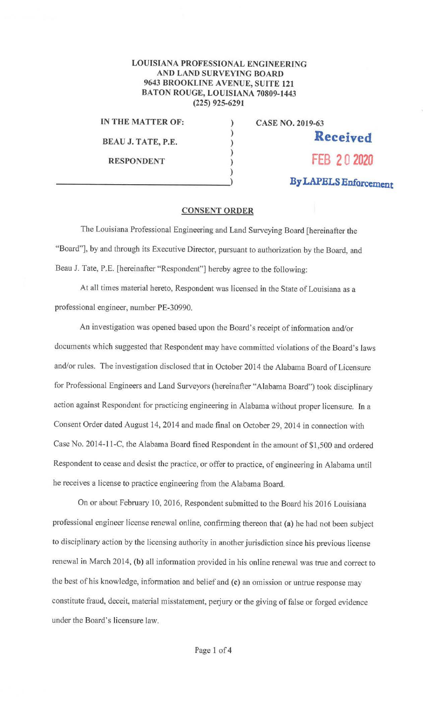## **LOUISIANA PROFESSIONAL ENGINEERING AND LAND SURVEYING BOARD 9643 BROOKLINE AVENUE, SUITE 121 BATON ROUGE, LOUISIANA 70809-1443 (225) 925-6291**

) ) ) ) ) )

**IN THE MATTER OF:** 

**BEAU J. TATE, P.E.** 

**CASE NO. 2019-63 Received RESPONDENT FEB 2 0 2020 By LAPELS Enforcement** 

## **CONSENT ORDER**

The Louisiana Professional Engineering and Land Surveying Board [hereinafter the "Board"], by and through its Executive Director, pursuant to authorization by the Board, and Beau J. Tate, P,E. [hereinafter "Respondent"] hereby agree to the following:

At all times material hereto, Respondent was licensed in the State of Louisiana as a professional engineer, number PE-30990.

An investigation was opened based upon the Board's receipt of information and/or documents which suggested that Respondent may have committed violations of the Board's laws and/or rules. The investigation disclosed that in October 2014 the Alabama Board of Licensure for Professional Engineers and Land Surveyors (hereinafter "Alabama Board") took disciplinary action against Respondent for practicing engineering in Alabama without proper licensure. In a Consent Order dated August 14, 2014 and made final on October 29, 2014 in connection with Case No. 2014-11-C, the Alabama Board fined Respondent in the amount of \$1,500 and ordered Respondent to cease and desist the practice, or offer to practice, of engineering in Alabama until he receives a license to practice engineering from the Alabama Board.

On or about February 10, 2016, Respondent submitted to the Board his 2016 Louisiana professional engineer license renewal online, confirming thereon that **(a)** he had not been subject to disciplinary action by the licensing authority in another jurisdiction since his previous license renewal in March 2014, **(b)** all infonnation provided in his online renewal was true and correct to the best of his knowledge, information and belief and (c) an omission or untrue response may constitute fraud, deceit, material misstatement, perjury or the giving of false or forged evidence under the Board's licensure law.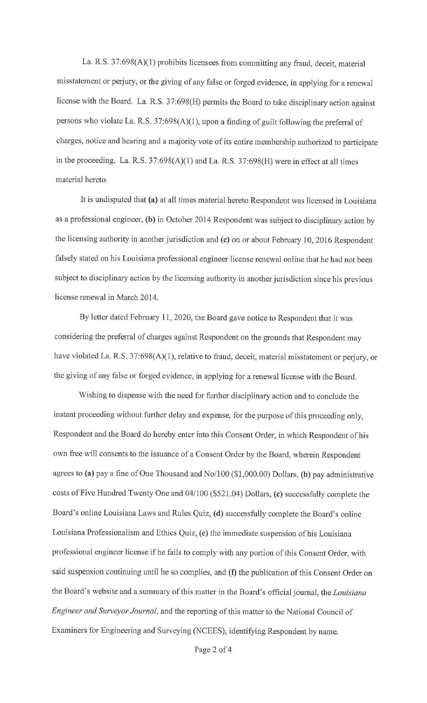La. R.S. 37:698(A)(l) prohibits licensees from committing any fraud, deceit, material misstatement or perjury, or the giving of any false or forged evidence, in applying for a renewal license with the Board. La. R.S. 37:698(H) permits the Board to take disciplinary action against persons who violate La. R.S. 37:698(A)(l), upon a finding of guilt following the preferral of charges, notice and hearing and a majority vote of its entire membership authorized to participate in the proceeding. La. R.S.  $37:698(A)(1)$  and La. R.S.  $37:698(H)$  were in effect at all times material hereto.

It is undisputed that **(a)** at all times material hereto Respondent was licensed in Louisiana as a professional engineer, **(b)** in October 2014 Respondent was subject to disciplinary action by the licensing authority in another jurisdiction and **(c)** on or about February 10, 2016 Respondent falsely stated on his Louisiana professional engineer license renewal online that he had not been subject to disciplinary action by the licensing authority in another jurisdiction since his previous license renewal in March 2014.

By letter dated February 11, 2020, the Board gave notice to Respondent that it was considering the preferral of charges against Respondent on the grounds that Respondent may have violated La. R.S. 37:698(A)(1), relative to fraud, deceit, material misstatement or perjury, or the giving of any false or forged evidence, in applying for a renewal license with the Board.

Wishing to dispense with the need for further disciplinary action and to conclude the instant proceeding without further delay and expense, for the purpose of this proceeding only, Respondent and the Board do hereby enter into this Consent Order, in which Respondent of his own free will consents to the issuance of a Consent Order by the Board, wherein Respondent agrees to **(a)** pay a fine of One Thousand and No/100 (\$1 ,000.00) Dollars, **(b)** pay administrative costs of Five Hundred Twenty One and 04/100 (\$521.04) Dollars, **(c)** successfully complete the Board's online Louisiana Laws and Rules Quiz, **(d)** successfully complete the Board's online Louisiana Professionalism and Ethics Quiz, **(e)** the immediate suspension of his Louisiana professional engineer license if he fails to comply with any portion of this Consent Order, with said suspension continuing until he so complies, and (f) the publication of this Consent Order on the Board's website and a summary of this matter in the Board's official journal, the *Louisiana Engineer and Surveyor Journal,* and the reporting of this matter to the National Council of Examiners for Engineering and Surveying (NCEES), identifying Respondent by name.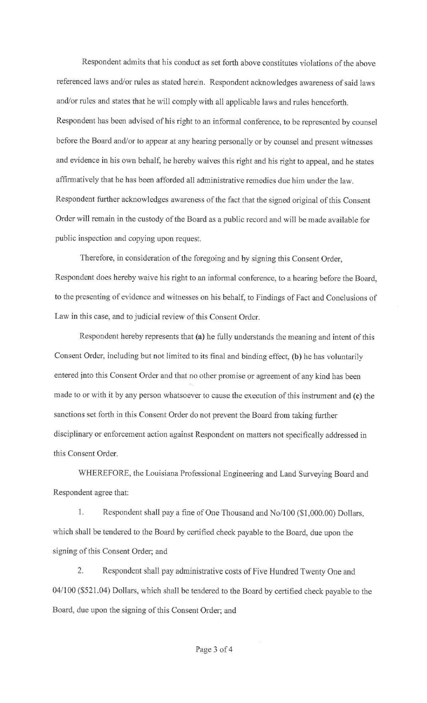Respondent admits that his conduct as set forth above constitutes violations of the above referenced laws and/or rules as stated herein. Respondent acknowledges awareness of said laws and/or rules and states that he will comply with all applicable laws and rules henceforth. Respondent has been advised of his right to an informal conference, to be represented by counsel before the Board and/or to appear at any hearing personally or by counsel and present witnesses and evidence in his own behalf, he hereby waives this right and his right to appeal, and he states affirmatively that he has been afforded all administrative remedies due him under the law. Respondent further acknowledges awareness of the fact that the signed original of this Consent Order will remain in the custody of the Board as a public record and will be made available for public inspection and copying upon request.

Therefore, in consideration of the foregoing and by signing this Consent Order, Respondent does hereby waive his right to an informal conference, to a hearing before the Board, to the presenting of evidence and witnesses on his behalf, to Findings of Fact and Conclusions of Law in this case, and to judicial review of this Consent Order.

Respondent hereby represents that (a) he fully understands the meaning and intent of this Consent Order, including but not limited to its final and binding effect, (b) he has voluntarily entered into this Consent Order and that no other promise or agreement of any kind has been made to or with it by any person whatsoever to cause the execution of this instrument and (c) the sanctions set fotth in this Consent Order do not prevent the Board from taking further disciplinary or enforcement action against Respondent on matters not specifically addressed in this Consent Order.

WHEREFORE, the Louisiana Professional Engineering and Land Surveying Board and Respondent agree that:

1. Respondent shall pay a fine of One Thousand and No/100 (\$1,000.00) Dollars, which shall be tendered to the Board by certified check payable to the Board, due upon the signing of this Consent Order; and

2. Respondent shall pay administrative costs of Five Hundred Twenty One and 04/100 (\$521.04) Dollars, which shall be tendered to the Board by certified check payable to the Board, due upon the signing of this Consent Order; and